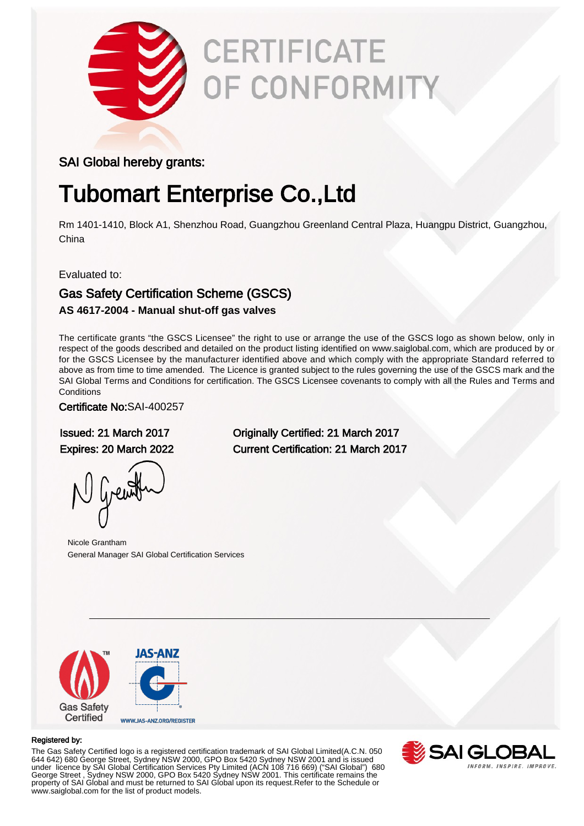

# **CERTIFICATE** OF CONFORMITY

### SAI Global hereby grants:

# Tubomart Enterprise Co.,Ltd

Rm 1401-1410, Block A1, Shenzhou Road, Guangzhou Greenland Central Plaza, Huangpu District, Guangzhou, China

Evaluated to:

## Gas Safety Certification Scheme (GSCS)

#### **AS 4617-2004 - Manual shut-off gas valves**

The certificate grants "the GSCS Licensee" the right to use or arrange the use of the GSCS logo as shown below, only in respect of the goods described and detailed on the product listing identified on www.saiglobal.com, which are produced by or for the GSCS Licensee by the manufacturer identified above and which comply with the appropriate Standard referred to above as from time to time amended. The Licence is granted subject to the rules governing the use of the GSCS mark and the SAI Global Terms and Conditions for certification. The GSCS Licensee covenants to comply with all the Rules and Terms and **Conditions** 

#### Certificate No:SAI-400257

Issued: 21 March 2017 Originally Certified: 21 March 2017 Expires: 20 March 2022 Current Certification: 21 March 2017

Nicole Grantham General Manager SAI Global Certification Services



#### Registered by:

The Gas Safety Certified logo is a registered certification trademark of SAI Global Limited(A.C.N. 050 644 642) 680 George Street, Sydney NSW 2000, GPO Box 5420 Sydney NSW 2001 and is issued under licence by SAI Global Certification Services Pty Limited (ACN 108 716 669) ("SAI Global") 680 George Street , Sydney NSW 2000, GPO Box 5420 Sydney NSW 2001. This certificate remains the property of SAI Global and must be returned to SAI Global upon its request.Refer to the Schedule or www.saiglobal.com for the list of product models.

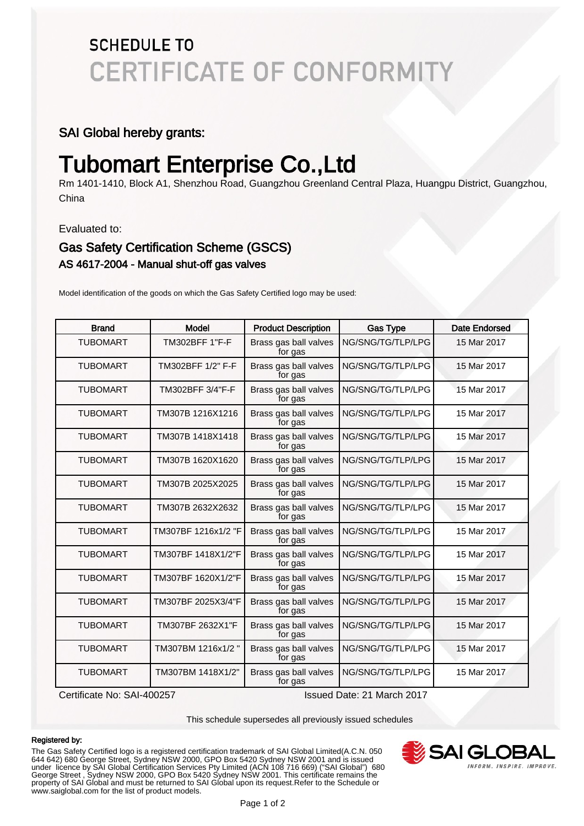# **SCHEDULE TO CERTIFICATE OF CONFORMITY**

### SAI Global hereby grants:

# Tubomart Enterprise Co.,Ltd

Rm 1401-1410, Block A1, Shenzhou Road, Guangzhou Greenland Central Plaza, Huangpu District, Guangzhou, China

Evaluated to:

### Gas Safety Certification Scheme (GSCS) AS 4617-2004 - Manual shut-off gas valves

Model identification of the goods on which the Gas Safety Certified logo may be used:

| <b>Brand</b>    | <b>Model</b>        | <b>Product Description</b>       | <b>Gas Type</b>   | <b>Date Endorsed</b> |
|-----------------|---------------------|----------------------------------|-------------------|----------------------|
| <b>TUBOMART</b> | TM302BFF 1"F-F      | Brass gas ball valves<br>for gas | NG/SNG/TG/TLP/LPG | 15 Mar 2017          |
| <b>TUBOMART</b> | TM302BFF 1/2" F-F   | Brass gas ball valves<br>for gas | NG/SNG/TG/TLP/LPG | 15 Mar 2017          |
| <b>TUBOMART</b> | TM302BFF 3/4"F-F    | Brass gas ball valves<br>for gas | NG/SNG/TG/TLP/LPG | 15 Mar 2017          |
| <b>TUBOMART</b> | TM307B 1216X1216    | Brass gas ball valves<br>for gas | NG/SNG/TG/TLP/LPG | 15 Mar 2017          |
| <b>TUBOMART</b> | TM307B 1418X1418    | Brass gas ball valves<br>for gas | NG/SNG/TG/TLP/LPG | 15 Mar 2017          |
| <b>TUBOMART</b> | TM307B 1620X1620    | Brass gas ball valves<br>for gas | NG/SNG/TG/TLP/LPG | 15 Mar 2017          |
| <b>TUBOMART</b> | TM307B 2025X2025    | Brass gas ball valves<br>for gas | NG/SNG/TG/TLP/LPG | 15 Mar 2017          |
| <b>TUBOMART</b> | TM307B 2632X2632    | Brass gas ball valves<br>for gas | NG/SNG/TG/TLP/LPG | 15 Mar 2017          |
| <b>TUBOMART</b> | TM307BF 1216x1/2 "F | Brass gas ball valves<br>for gas | NG/SNG/TG/TLP/LPG | 15 Mar 2017          |
| <b>TUBOMART</b> | TM307BF 1418X1/2"F  | Brass gas ball valves<br>for gas | NG/SNG/TG/TLP/LPG | 15 Mar 2017          |
| <b>TUBOMART</b> | TM307BF 1620X1/2"F  | Brass gas ball valves<br>for gas | NG/SNG/TG/TLP/LPG | 15 Mar 2017          |
| <b>TUBOMART</b> | TM307BF 2025X3/4"F  | Brass gas ball valves<br>for gas | NG/SNG/TG/TLP/LPG | 15 Mar 2017          |
| <b>TUBOMART</b> | TM307BF 2632X1"F    | Brass gas ball valves<br>for gas | NG/SNG/TG/TLP/LPG | 15 Mar 2017          |
| <b>TUBOMART</b> | TM307BM 1216x1/2"   | Brass gas ball valves<br>for gas | NG/SNG/TG/TLP/LPG | 15 Mar 2017          |
| <b>TUBOMART</b> | TM307BM 1418X1/2"   | Brass gas ball valves<br>for gas | NG/SNG/TG/TLP/LPG | 15 Mar 2017          |

Certificate No: SAI-400257 Issued Date: 21 March 2017

This schedule supersedes all previously issued schedules

#### Registered by:

The Gas Safety Certified logo is a registered certification trademark of SAI Global Limited(A.C.N. 050 644 642) 680 George Street, Sydney NSW 2000, GPO Box 5420 Sydney NSW 2001 and is issued under licence by SAI Global Certification Services Pty Limited (ACN 108 716 669) ("SAI Global") 680 George Street , Sydney NSW 2000, GPO Box 5420 Sydney NSW 2001. This certificate remains the property of SAI Global and must be returned to SAI Global upon its request.Refer to the Schedule or www.saiglobal.com for the list of product models.